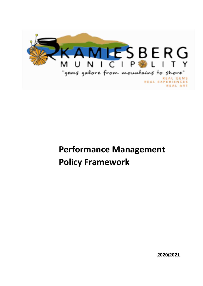

# **Performance Management Policy Framework**

 **2020/2021**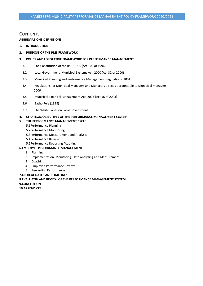### **CONTENTS**

#### **ABBREVIATIONS DEFINITIONS**

- **1. INTRODUCTION**
- **2. PURPOSE OF THE PMS FRAMEWORK**

#### **3. POLICY AND LEGISLATIVE FRAMEWORK FOR PERFORMANCE MANAGEMENT**

- 3.1 The Constitution of the RSA, 1996 (Act 108 of 1996)
- 3.2 Local Government: Municipal Systems Act, 2000 (Act 32 of 2000)
- 3.3 Municipal Planning and Performance Management Regulations, 2001
- 3.4 Regulations for Municipal Managers and Managers directly accountable to Municipal Managers, 2006
- 3.5 Municipal Financial Management Act, 2003 (Act 56 of 2003)
- 3.6 Batho Pele (1998)
- 3.7 The White Paper on Local Government

#### **4. STRATEGIC OBJECTIVES OF THE PERFORMANCE MANAGEMENT SYSTEM**

#### **5. THE PERFORMANCE MANAGEMENT CYCLE**

- 5.1Performance Planning
- 5.2Performance Monitoring
- 5.3Performance Measurement and Analysis
- 5.4Performance Reviews
- 5.5Performance Reporting /Auditing

#### **6.EMPLOYEE PERFORMANCE MANAGEMENT**

- 1 Planning
- 2 Implementation, Monitoring, Data Analysing and Measurement
- 3 Coaching
- 4 Employee Performance Review
- 5 Rewarding Performance

**7.CRITICAL DATES AND TIMELINES**

# **8.EVALUATIN AND REVIEW OF THE PERFORMANCE MANAGEMENT SYSTEM 9.CONCLUTION**

**10.APPENDICES**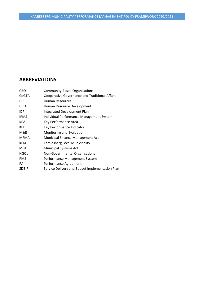# **ABBREVIATIONS**

| <b>CBOs</b>  | <b>Community Based Organisations</b>                  |
|--------------|-------------------------------------------------------|
| CoGTA        | <b>Cooperative Governance and Traditional Affairs</b> |
| HR.          | Human Resources                                       |
| <b>HRD</b>   | Human Resource Development                            |
| IDP          | Integrated Development Plan                           |
| <b>IPMS</b>  | Individual Performance Management System              |
| <b>KPA</b>   | Key Performance Area                                  |
| <b>KPI</b>   | Key Performance Indicator                             |
| M&E          | Monitoring and Evaluation                             |
| <b>MFMA</b>  | Municipal Finance Management Act                      |
| <b>KLM</b>   | Kamiesberg Local Municipality                         |
| MSA          | <b>Municipal Systems Act</b>                          |
| <b>NGOs</b>  | Non-Governmental Organisations                        |
| <b>PMS</b>   | Performance Management System                         |
| PA           | Performance Agreement                                 |
| <b>SDBIP</b> | Service Delivery and Budget Implementation Plan       |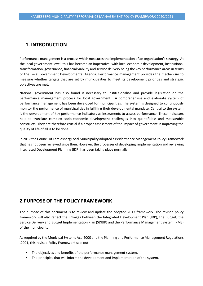# **1. INTRODUCTION**

Performance management is a process which measures the implementation of an organisation's strategy. At the local government level, this has become an imperative, with local economic development, institutional transformation, governance, financial viability and service delivery being the key performance areas in terms of the Local Government Developmental Agenda. Performance management provides the mechanism to measure whether targets that are set by municipalities to meet its development priorities and strategic objectives are met.

National government has also found it necessary to institutionalise and provide legislation on the performance management process for local government. A comprehensive and elaborate system of performance management has been developed for municipalities. The system is designed to continuously monitor the performance of municipalities in fulfilling their developmental mandate. Central to the system is the development of key performance indicators as instruments to assess performance. These indicators help to translate complex socio-economic development challenges into quantifiable and measurable constructs. They are therefore crucial if a proper assessment of the impact of government in improving the quality of life of all is to be done.

In 2017 the Council of Kamiesberg Local Municipality adopted a Performance Management Policy Framework that has not been reviewed since then. However, the processes of developing, implementation and reviewing Integrated Development Planning (IDP) has been taking place normally.

# **2.PURPOSE OF THE POLICY FRAMEWORK**

The purpose of this document is to review and update the adopted 2017 framework. The revised policy framework will also reflect the linkages between the Integrated Development Plan (IDP), the Budget, the Service Delivery and Budget Implementation Plan (SDBIP) and the Performance Management System (PMS) of the municipality.

As required by the Municipal Systems Act ,2000 and the Planning and Performance Management Regulations ,2001, this revised Policy Framework sets out:

- **■** The objectives and benefits of the performance management system,
- **EXECT** The principles that will inform the development and implementation of the system,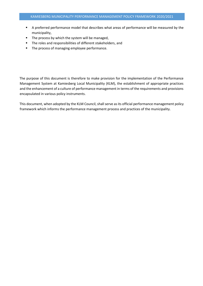- A preferred performance model that describes what areas of performance will be measured by the municipality,
- The process by which the system will be managed,
- The roles and responsibilities of different stakeholders, and
- The process of managing employee performance.

The purpose of this document is therefore to make provision for the implementation of the Performance Management System at Kamiesberg Local Municipality (KLM), the establishment of appropriate practices and the enhancement of a culture of performance management in terms of the requirements and provisions encapsulated in various policy instruments.

This document, when adopted by the KLM Council, shall serve as its official performance management policy framework which informs the performance management process and practices of the municipality.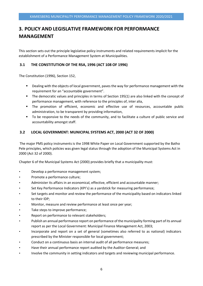# **3. POLICY AND LEGISLATIVE FRAMEWORK FOR PERFORMANCE MANAGEMENT**

This section sets out the principle legislative policy instruments and related requirements implicit for the establishment of a Performance Management System at Municipalities.

#### **3.1 THE CONSTITUTION OF THE RSA, 1996 (ACT 108 OF 1996)**

The Constitution (1996), Section 152,

- Dealing with the objects of local government, paves the way for performance management with the requirement for an "accountable government".
- The democratic values and principles in terms of Section 195(1) are also linked with the concept of performance management, with reference to the principles of, inter alia,
- The promotion of efficient, economic and effective use of resources, accountable public administration, to be transparent by providing information,
- To be responsive to the needs of the community, and to facilitate a culture of public service and accountability amongst staff.

#### **3.2 LOCAL GOVERNMENT: MUNICIPAL SYSTEMS ACT, 2000 (ACT 32 OF 2000)**

The major PMS policy instruments is the 1998 White Paper on Local Government supported by the Batho Pele principles, which policies was given legal status through the adoption of the Municipal Systems Act in 2000 (Act 32 of 2000).

Chapter 6 of the Municipal Systems Act (2000) provides briefly that a municipality must:

- Develop a performance management system;
- Promote a performance culture;
- Administer its affairs in an economical, effective, efficient and accountable manner;
- Set Key Performance Indicators (KPI's) as a yardstick for measuring performance;
- Set targets and monitor and review the performance of the municipality based on indicators linked to their IDP;
- Monitor, measure and review performance at least once per year;
- Take steps to improve performance;
- Report on performance to relevant stakeholders;
- Publish an annual performance report on performance of the municipality forming part of its annual report as per the Local Government: Municipal Finance Management Act, 2003;
- Incorporate and report on a set of general (sometimes also referred to as national) indicators prescribed by the Minister responsible for local government;
- Conduct on a continuous basis an internal audit of all performance measures;
- Have their annual performance report audited by the Auditor-General; and
- Involve the community in setting indicators and targets and reviewing municipal performance.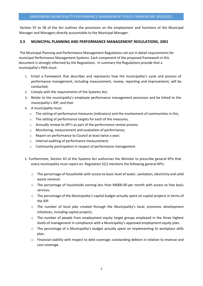Section 55 to 58 of the Act outlines the provisions on the employment and functions of the Municipal Manager and Managers directly accountable to the Municipal Manager.

#### **3.3 MUNICIPAL PLANNING AND PERFORMANCE MANAGEMENT REGULATIONS, 2001**

The Municipal Planning and Performance Management Regulations set out in detail requirements for municipal Performance Management Systems. Each component of the proposed framework in this document is strongly informed by the Regulations. In summary the Regulations provide that a municipality's PMS must:

- 1. Entail a framework that describes and represents how the municipality's cycle and process of performance management, including measurement, review, reporting and improvement, will be conducted;
- 2. Comply with the requirements of the Systems Act;
- 3. Relate to the municipality's employee performance management processes and be linked to the municipality's IDP; and that:
- 4. A municipality must:
	- $\circ$  The setting of performance measures (indicators) and the involvement of communities in this,
	- o The setting of performance targets for each of the measures,
	- o Annually review its KPI's as part of the performance review process
	- o Monitoring, measurement and evaluation of performance;
	- o Report on performance to Council at least twice a year;
	- o Internal auditing of performance measurement;
	- o Community participation in respect of performance management
- 5. Furthermore, Section 43 of the Systems Act authorises the Minister to prescribe general KPIs that every municipality must report on. Regulation 5(1) mentions the following general KPIs:
	- $\circ$  The percentage of households with access to basic level of water, sanitation, electricity and solid waste removal.
	- $\circ$  The percentage of households earning less than R4000-00 per month with access to free basic services.
	- o The percentage of the Municipality's capital budget actually spent on capital projects in terms of the IDP.
	- o The number of local jobs created through the Municipality's local, economic development initiatives, including capital projects.
	- $\circ$  The number of people from employment equity target groups employed in the three highest levels of management in compliance with a Municipality's approved employment equity plan.
	- o The percentage of a Municipality's budget actually spent on implementing its workplace skills plan.
	- o Financial viability with respect to debt coverage; outstanding debtors in relation to revenue and cost coverage.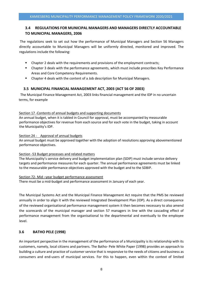### **3.4 REGULATIONS FOR MUNICIPAL MANAGERS AND MANAGERS DIRECTLY ACCOUNTABLE TO MUNICIPAL MANAGERS, 2006**

The regulations seek to set out how the performance of Municipal Managers and Section 56 Managers directly accountable to Municipal Managers will be uniformly directed, monitored and improved. The regulations include the following:

- Chapter 2 deals with the requirements and provisions of the employment contracts;
- Chapter 3 deals with the performance agreements, which must include prescribes Key Performance Areas and Core Competency Requirements.
- Chapter 4 deals with the content of a Job description for Municipal Managers.

#### **3.5 MUNICIPAL FINANCIAL MANAGEMENT ACT, 2003 (ACT 56 OF 2003)**

The Municipal Finance Management Act, 2003 links financial management and the IDP in no uncertain terms, for example

#### Section 17 -Contents of annual budgets and supporting documents

An annual budget, when it is tabled in Council for approval, must be accompanied by measurable performance objectives for revenue from each source and for each vote in the budget, taking in account the Municipality's IDP.

#### Section 24 - Approval of annual budgets

An annual budget must be approved together with the adoption of resolutions approving abovementioned performance objectives.

#### Section -53 Budget processes and related matters

The Municipality's service delivery and budget implementation plan (SDIP) must include service delivery targets and performance measures for each quarter. The annual performance agreements must be linked to the measurable performance objectives approved with the budget and to the SDBIP.

#### Section 72- Mid –year budget performance assessment

There must be a mid-budget and performance assessment in January of each year.

The Municipal Systems Act and the Municipal Finance Management Act require that the PMS be reviewed annually in order to align it with the reviewed Integrated Development Plan (IDP). As a direct consequence of the reviewed organisational performance management system it then becomes necessary to also amend the scorecards of the municipal manager and section 57 managers in line with the cascading effect of performance management from the organisational to the departmental and eventually to the employee level.

#### **3.6 BATHO PELE (1998)**

An important perspective in the management of the performance of a Municipality is its relationship with its customers, namely, local citizens and partners. The Batho- Pele White Paper (1998) provides an approach to building a culture and practice of customer service that is responsive to the needs of citizens and business as consumers and end-users of municipal services. For this to happen, even within the context of limited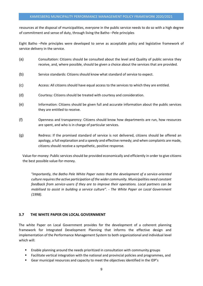#### KAMIESBERG MUNICIPALITY PERFORMANCE MANAGEMENT POLICY FRAMEWORK 2020/2021

resources at the disposal of municipalities, everyone in the public service needs to do so with a high degree of commitment and sense of duty, through living the Batho –Pele principles

Eight Batho –Pele principles were developed to serve as acceptable policy and legislative framework of service delivery in the service.

- (a) Consultation: Citizens should be consulted about the level and Quality of public service they receive, and, where possible, should be given a choice about the services that are provided.
- (b) Service standards: Citizens should know what standard of service to expect.
- (c) Access: All citizens should have equal access to the services to which they are entitled.
- (d) Courtesy: Citizens should be treated with courtesy and consideration.
- (e) Information: Citizens should be given full and accurate information about the public services they are entitled to receive.
- (f) Openness and transparency: Citizens should know how departments are run, how resources are spent, and who is in charge of particular services.
- (g) Redress: If the promised standard of service is not delivered, citizens should be offered an apology, a full explanation and a speedy and effective remedy; and when complaints are made, citizens should receive a sympathetic, positive response.

Value-for-money: Public services should be provided economically and efficiently in order to give citizens the best possible value-for-money.

*"Importantly, the Batho Pele White Paper notes that the development of a service-oriented culture requires the active participation of the wider community. Municipalities need constant feedback from service-users if they are to improve their operations. Local partners can be mobilised to assist in building a service culture". - The White Paper on Local Government (1998).* 

#### **3.7 THE WHITE PAPER ON LOCAL GOVERNMENT**

The white Paper on Local Government provides for the development of a coherent planning framework for Integrated Development Planning that informs the effective design and implementation of the Performance Management System to both organizational and individual level which will:

- Enable planning around the needs prioritized in consultation with community groups
- Facilitate vertical integration with the national and provincial policies and programmes, and
- Gear municipal resources and capacity to meet the objectives identified in the IDP's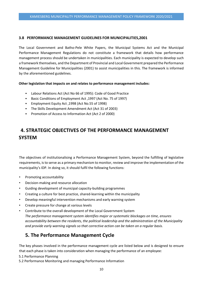#### **3.8 PERFORMANCE MANAGEMENT GUIDELINES FOR MUNICIPALITIES,2001**

The Local Government and Batho-Pele White Papers, the Municipal Systems Act and the Municipal Performance Management Regulations do not constitute a framework that details how performance management process should be undertaken in municipalities. Each municipality is expected to develop such a framework themselves, and the Department of Provincial and Local Government prepared the Performance Management Guideline for Municipalities (2001) to assist municipalities in this. The framework is informed by the aforementioned guidelines.

#### **Other legislation that impacts on and relates to performance management includes:**

- Labour Relations Act (Act No 66 of 1995): Code of Good Practice
- Basic Conditions of Employment Act ,1997 (Act No. 75 of 1997)
- Employment Equity Act ,1998 (Act No.55 of 1998)
- The Skills Development Amendment Act (Act 31 of 2003)
- Promotion of Access to Information Act (Act 2 of 2000)

# **4. STRATEGIC OBJECTIVES OF THE PERFORMANCE MANAGEMENT SYSTEM**

The objectives of institutionalising a Performance Management System, beyond the fulfilling of legislative requirements, is to serve as a primary mechanism to monitor, review and improve the implementation of the municipality's IDP. In doing so, it should fulfil the following functions:

- Promoting accountability
- Decision-making and resource allocation
- Guiding development of municipal capacity-building programmes
- Creating a culture for best practice, shared-learning within the municipality
- Develop meaningful intervention mechanisms and early warning system
- Create pressure for change at various levels
- Contribute to the overall development of the Local Government System *The performance management system identifies major or systematic blockages on time, ensures accountability between the residents, the political leadership and the administration of the Municipality and provide early warning signals so that corrective action can be taken on a regular basis.*

# **5. The Performance Management Cycle**

The key phases involved in the performance management cycle are listed below and is designed to ensure that each phase is taken into consideration when managing the performance of an employee:

- 5.1 Performance Planning
- 5.2 Performance Monitoring and managing Performance Information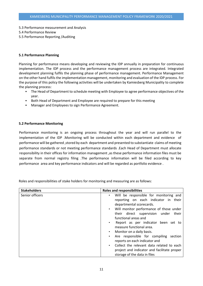- 5.3 Performance measurement and Analysis
- 5.4 Performance Review
- 5.5 Performance Reporting /Auditing

#### **5.1 Performance Planning**

Planning for performance means developing and reviewing the IDP annually in preparation for continuous implementation. The IDP process and the performance management process are integrated. Integrated development planning fulfils the planning phase of performance management. Performance Management on the other hand fulfils the implementation management, monitoring and evaluation of the IDP process. For the purpose of this policy the following activities will be undertaken by Kamiesberg Municipality to complete the planning process:

- The Head of Department to schedule meeting with Employee to agree performance objectives of the year.
- Both Head of Department and Employee are required to prepare for this meeting
- Manager and Employees to sign Performance Agreement.

#### **5.2 Performance Monitoring**

Performance monitoring is an ongoing process throughout the year and will run parallel to the implementation of the IDP .Monitoring will be conducted within each department and evidence of performance will be gathered , stored by each department and presented to substantiate claims of meeting performance standards or not meeting performance standards .Each Head of Department must allocate responsibility in their offices for information management ,as these performance information files must be separate from normal registry filing .The performance information will be filed according to key performance area and key performance indicators and will be regarded as portfolio evidence .

Roles and responsibilities of stake holders for monitoring and measuring are as follows: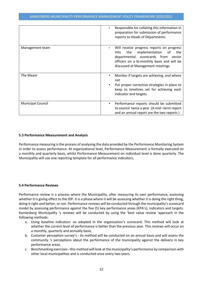|                          | Responsible for collating this information in<br>preparation for submission of performance<br>reports to Heads of Departments.                                                                                      |
|--------------------------|---------------------------------------------------------------------------------------------------------------------------------------------------------------------------------------------------------------------|
| Management team          | Will receive progress reports on progress<br>implementation<br>the<br>the<br>into<br>of<br>departmental scorecards from<br>senior<br>officers on a bi-monthly basis and will be<br>discussed at Management meetings |
| The Mayor                | Monitor if targets are achieving, and where<br>not<br>Put proper corrective strategies in place to<br>keep to timelines set for achieving each<br>indicator and targets                                             |
| <b>Municipal Council</b> | Performance reports should be submitted<br>to council twice a year .(A mid -term report<br>and an annual report are the two reports)                                                                                |

#### **5.3 Performance Measurement and Analysis**

Performance measuring is the process of analysing the data provided by the Performance Monitoring System in order to assess performance. At organizational level, Performance Measurement is formally executed on a monthly and quarterly basis, whilst Performance Measurement on individual level is done quarterly. The Municipality will use one reporting template for all performance indicators**.**

#### **5.4 Performance Reviews**

Performance review is a process where the Municipality, after measuring its own performance, assessing whether it is giving effect to the IDP. It is a phase where it will be assessing whether it is doing the right thing, doing it right and better, or not. Performance reviews will be conducted through the municipality's scorecard model by assessing performance against the five (5) key performance areas (KPA's), indicators and targets. Kamiesberg Municipality 's reviews will be conducted by using the 'best value review 'approach in the following methods:

- a. Using baseline indicators -as adopted in the organization's scorecard. This method will look at whether the current level of performance is better than the previous year. This reviews will occur on a monthly, quarterly and annually basis.
- b. Customer perception survey's tis method will be conducted on an annual basis and will assess the community 's perceptions about the performance of the municipality against the delivery in key performance areas.
- c. Benchmarking exercises –this method will look at the municipality's performance by comparison with other local municipalities and is conducted once every two years.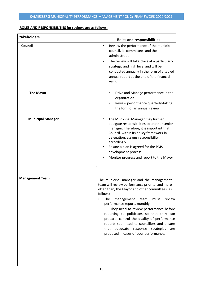### **ROLES AND RESPONSIBILITIES for reviews are as follows:**

| <b>Stakeholders</b>      | <b>Roles and responsibilities</b>                                                                                                                                                                                                                                                                                                                                                                                                                                                                                         |
|--------------------------|---------------------------------------------------------------------------------------------------------------------------------------------------------------------------------------------------------------------------------------------------------------------------------------------------------------------------------------------------------------------------------------------------------------------------------------------------------------------------------------------------------------------------|
| <b>Council</b>           | Review the performance of the municipal<br>council, its committees and the<br>administration<br>The review will take place at a particularly<br>strategic and high level and will be<br>conducted annually in the form of a tabled<br>annual report at the end of the financial<br>year.                                                                                                                                                                                                                                  |
| <b>The Mayor</b>         | Drive and Manage performance in the<br>٠<br>organization<br>Review performance quarterly-taking<br>the form of an annual review.                                                                                                                                                                                                                                                                                                                                                                                          |
| <b>Municipal Manager</b> | The Municipal Manager may further<br>٠<br>delegate responsibilities to another senior<br>manager. Therefore, it is important that<br>Council, within its policy framework in<br>delegation, assigns responsibility<br>accordingly<br>Ensure a plan is agreed for the PMS<br>development process<br>Monitor progress and report to the Mayor                                                                                                                                                                               |
| <b>Management Team</b>   | The municipal manager and the management<br>team will review performance prior to, and more<br>often than, the Mayor and other committees, as<br>follows:<br>The<br>management<br>team<br>must<br>review<br>performance reports monthly,<br>They need to review performance before<br>reporting to politicians so that they can<br>prepare, control the quality of performance<br>reports submitted to councillors and ensure<br>that adequate<br>response<br>strategies<br>are<br>proposed in cases of poor performance. |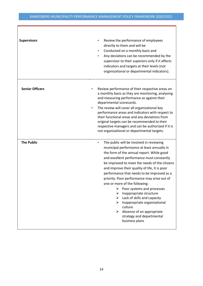| <b>Supervisors</b>     | Review the performance of employees<br>directly to them and will be<br>Conducted on a monthly basis and<br>Any deviations can be recommended by the<br>supervisor to their superiors-only if it affects<br>indicators and targets at their levels (not<br>organizational or departmental indicators).                                                                                                                                                                                                                                                                                                                                                                        |  |
|------------------------|------------------------------------------------------------------------------------------------------------------------------------------------------------------------------------------------------------------------------------------------------------------------------------------------------------------------------------------------------------------------------------------------------------------------------------------------------------------------------------------------------------------------------------------------------------------------------------------------------------------------------------------------------------------------------|--|
| <b>Senior Officers</b> | Review performance of their respective areas on<br>a monthly basis as they are monitoring, analysing<br>and measuring performance as against their<br>departmental scorecards.<br>The review will cover all organizational key<br>performance areas and indicators with respect to<br>their functional areas and any deviations from<br>original targets can be recommended to their<br>respective managers and can be authorized if it is<br>not organizational or departmental targets.                                                                                                                                                                                    |  |
| <b>The Public</b>      | The public will be involved in reviewing<br>$\bullet$<br>municipal performance at least annually in<br>the form of the annual report. While good<br>and excellent performance must constantly<br>be improved to meet the needs of the citizens<br>and improve their quality of life, it is poor<br>performance that needs to be improved as a<br>priority. Poor performance may arise out of<br>one or more of the following:<br>$\triangleright$ Poor systems and processes<br>Inappropriate structure<br>➤<br>Lack of skills and capacity<br>➤<br>Inappropriate organizational<br>culture<br>Absence of an appropriate<br>≻<br>strategy and departmental<br>business plans |  |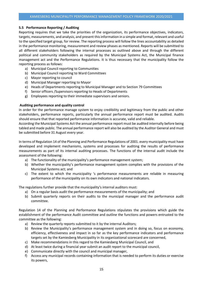#### **5.5 Performance Reporting / Auditing**

Reporting requires that we take the priorities of the organization, its performance objectives, indicators, targets, measurements, and analysis, and present this information in a simple and format, relevant and useful to the specified target group, for review. The reporting process will follow the lines accountability as detailed in the performance monitoring, measurement and review phases as mentioned. Reports will be submitted to all different stakeholders following the internal processes as outlined above and through the different political and community stakeholders as required by the Municipal Systems Act, the Municipal finance management act and the Performance Regulations. It is thus necessary that the municipality follow the reporting process as follows:

- a) Municipal Council reporting to Communities
- b) Municipal Council reporting to Ward Committees
- c) Mayor reporting to council
- d) Municipal Manager reporting to Mayor
- e) Heads of Departments reporting to Municipal Manager and to Section 79 Committees
- f) Senior officers /Supervisors reporting to Heads of Departments
- g) Employees reporting to their immediate supervisors and seniors.

#### **Auditing performance and quality control**

In order for the performance manage system to enjoy credibility and legitimacy from the public and other stakeholders, performance reports, particularly the annual performance report must be audited. Audits should ensure that that reported performance information is accurate, valid and reliable.

According the Municipal Systems Act the annual performance report must be audited internally before being tabled and made public. The annual performance report will also be audited by the Auditor General and must be submitted before 31 August every year.

In terms of Regulation 14 of the Planning and Performance Regulations of 2001. every municipality must have developed and implement mechanisms, systems and processes for auditing the results of performance measurements as part of its internal auditing processes. The functions of the internal audit include the assessment of the following:

- a) The functionality of the municipality's performance management system;
- b) Whether the municipality's performance management system complies with the provisions of the Municipal Systems act; and
- c) The extent to which the municipality 's performance measurements are reliable in measuring performance of the municipality on its own indicators and national indicators.

The regulations further provide that the municipality's internal auditors must:

- a) On a regular basis audit the performance measurements of the municipality; and
- b) Submit quarterly reports on their audits to the municipal manager and the performance audit committee.

Regulation 14 of the Planning and Performance Regulations stipulates the provisions which guide the establishment of the performance Audit committee and outline the functions and powers entrusted to the committee as the following:

- a) Review the quarterly reports submitted to it by the internal Auditors;
- b) Review the Municipality's performance management system and in doing so, focus on economy, efficiency, effectiveness and impact in so far as the key performance indicators and performance targets set by the Kamiesberg Municipality in its organizational scorecard are concerned,
- c) Make recommendations in this regard to the Kamiesberg Municipal Council, and
- d) At least twice during a financial year submit an audit report to the municipal council,
- e) Communicate directly with the council and municipal manager,
- f) Access any municipal records containing information that is needed to perform its duties or exercise its powers,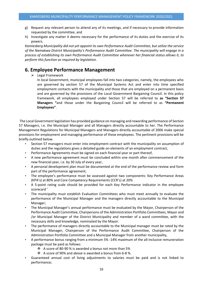- g) Request any relevant person to attend any of its meetings, and if necessary to provide information requested by the committee, and
- h) Investigate any matter it deems necessary for the performance of its duties and the exercise of its powers.

*Kamiesberg Municipality did not yet appoint its own Performance Audit Committee, but utilize the service of the Namakwa District Municipality's Performance Audit Committee. The municipality will engage in a process of establishing its own Performance Audit Committee whenever her financial status allows it, to perform this function as required by legislation.*

# **6. Employee Performance Management**

 $\triangleright$  Legal Framework

In local Government, municipal employees fall into two categories, namely, the employees who are governed by section 57 of the Municipal Systems Act and enter into time specified employment contacts with the municipality and those that are employed on a permanent basis and are governed by the provisions of the Local Government Bargaining Council. In this policy framework, all employees employed under Section 57 will be referred to **as "Section 57 Managers "**and those under the Bargaining Council will be referred to as **"Permanent Employees"**.

The Local Government legislation has provided guidance on managing and rewarding performance of Section 57 Managers, i.e. the Municipal Manager and all Managers directly accountable to her. The Performance Management Regulations for Municipal Managers and Managers directly accountable of 2006 make special provisions for employment and managing performance of these employees. The pertinent provisions will be briefly outlined below.

- Section 57 managers must enter into employment contract with the municipality on assumption of duties and the regulations gives a detailed guide on elements of an employment contract,
- Performance Agreements must be signed on each financial year or part thereof,
- A new performance agreement must be concluded within one month after commencement of the new financial year, i.e. by 30 July of every year,
- A personal development plan must be documented at the end of the performance review and form part of the performance agreement,
- The employee's performance must be assessed against two components: Key Performance Areas (KPA's) at 80% and Core Competency Requirements (CCR's) at 20%
- A 5-point rating scale should be provided for each Key Performance indicator in the employee scorecard '
- The municipality must establish Evaluation Committees who must meet annually to evaluate the performance of the Municipal Manager and the managers directly accountable to the Municipal Manager;
- The Municipal Manager's annual performance must be evaluated by the Mayor, Chairperson of the Performance Audit Committee, Chairpersons of the Administration Portfolio Committees, Mayor and /or Municipal Manager of the District Municipality and member of a ward committee, with the necessary skills and knowledge, nominated by the Mayor.
- The performance of managers directly accountable to the Municipal manager must be rated by the Municipal Manager, Chairperson of the Performance Audit Committee, Chairperson of the Administration Portfolio Committee and a Municipal Manager from another municipality,
- A performance bonus ranging from a minimum 5% -14% maximum of the all-inclusive remuneration package must be paid as follows:
	- ❖ A score of 80-90 % is awarded a bonus not more than 5%
	- ❖ A score of 90% and above is awarded a bonus from 6-8 %.
- Guaranteed annual cost of living adjustments to salaries must be paid and is not linked to performance;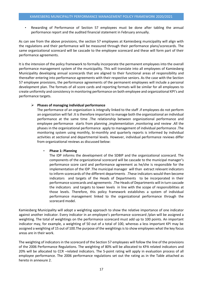• Rewarding of Performance of Section 57 employees must be done after tabling the annual performance report and the audited financial statement in February annually.

As can see from the above provisions, the section 57 employees at Kamiesberg municipality will align with the regulations and their performance will be measured through their performance plans/scorecards. The same organizational scorecard will be cascade to the employee scorecard and these will form part of their performance agreements.

It is the intension of the policy framework to formally incorporate the permanent employees into the overall performance management system of the municipality. This will translate into all employees of Kamiesberg Municipality developing annual scorecards that are aligned to their functional areas of responsibility and thereafter entering into performance agreements with their respective seniors. As the case with the Section 57 employee provisions, the performance agreements of the permanent employees will include a personal development plan. The formats of all score cards and reporting formats will be similar for all employees to create uniformity and consistency in monitoring performance on both employee and organizational KPI's and performance targets.

#### ➢ **Phases of managing individual performance**

The performance of an organization is integrally linked to the staff .if employees do not perform an organization will fail .It is therefore important to manage both the organizational an individual performance at the same time .The relationship between organizational performance and employee performance starts from planning ,implementation ,monitoring and review .All the phases in the organizational performance apply to management of individual performance .The monitoring system using monthly, bi-monthly and quarterly reports is informed by individual activities at sectional and departmental levels. However, individual performance reviews differ from organizational reviews as discussed below:

#### • **Phase 1: Planning**

The IDP informs the development of the SDBIP and the organizational scorecard. The components of the organizational scorecard will be cascade to the municipal manager's performance score card and performance agreement as he/she is responsible for the implementation of the IDP .The municipal manager will than extract relevant indicators to inform scorecards of the different departments .These indicators would then become indicators and targets of the Heads of Departments to be incorporated in their performance scorecards and agreements .The Heads of Departments will in turn cascade the indicators and targets to lower levels in line with the scope of responsibilities at those levels. Therefore, this policy framework establishes a system of individual performance management linked to the organizational performance through the scorecard model.

Kamiesberg Municipality will adopt a weighting approach to show the relative importance of one indicator against another indicator. Every indicator in an employee's performance scorecard /plan will be assigned a weighting. The total of weightings on the performance scorecard must add up to 100 points. An important indicator may, for example, a weighting of 50 out of a total of 100, whereas a less important KPI may be assigned a weighting of 15 out of 100.The purpose of the weightings is to show employees what the key focus areas are in their work.

The weighting of indicators in the scorecard of the Section 57 employees will follow the line of the provisions of the 2006 Performance Regulations. The weighting of 80% will be allocated to KPA related indicators and 20% will be allocated to CCR –related indicators. The 5-point rating will apply in evaluation process of all employee performance. The 2006 performance regulations set out the rating as in the Table attached as hereto in annexure 2.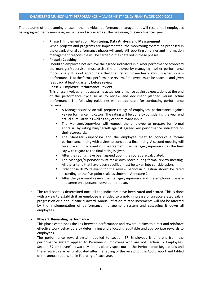The outcome of the planning phase in the individual performance management will result in all employees having signed performance agreements and scorecards at the beginning of every financial year.

#### • **Phase 2: Implementation, Monitoring, Data Analysis and Measurement**

When projects and programs are implemented, the monitoring system as proposed in the organizational performance phases will apply. Allreporting timelines and information management responsible will be carried out as detailed in these phases.

#### • **Phase3: Coaching**

Should an employee not achieve the agreed indicators in his/her performance scorecard the manager/supervisor must assist the employee by managing his/her performance more closely. It is not appropriate that the first employee hears about his/her none – performance is at the formal performance review. Employees must be coached and given feedback at least quarterly before review.

#### • **Phase 4: Employee Performance Review**

This phase involves jointly assessing actual performance against expectations at the end of the performance cycle so as to review and document planned versus actual performance. The following guidelines will be applicable for conducting performance reviews:

- A Manager/supervisor will prepare ratings of employees' performance against key performance indicators. The rating will be done by considering the year end actual cumulative as well as any other relevant input.
- **■** The Manager/supervisor will request the employee to prepare for formal appraisal by rating him/herself against agreed key performance indicators on their scorecards.
- The Manager /supervisor and the employee meet to conduct a formal performance rating with a view to conclude a final rating. A second meeting will take place. In the event of disagreement, the manager/supervisor has the final say with regard to the final rating is given.
- After the ratings have been agreed upon, the scores are calculated.
- The Manager/supervisor must make own notes during formal review meeting. All the criteria that have been specified must be taken into consideration.
- Only those KPI'S relevant for the review period in question should be rated according to the five-point scale as shown in Annexure 2
- After the year –end review the manager/supervisor and the employee prepare and agree on a personal development plan.
- The total score is determined once all the indicators have been rated and scored. This is done with a view to establish if an employee is entitled to a notch increase or an accelerated salary progression or a non –financial award. Annual inflation related increments will not be affected by the implementation of performance management system and cascading it down all employees.

#### • **Phase 5: Rewarding performance**

This phase establishes the link between performance and reward. It aims to direct and reinforce effective work behaviours by determining and allocating equitable and appropriate rewards to employees.

The performance reward system applied to section 57 Employees is different from the performance system applied to Permanent Employees who are not Section 57 Employees. Section 57 employee's reward system is clearly spelt out in the Performance Regulations and these rewards are being allocated after the tabling of the receipt of the Audit report and tabled of the annual report, i.e. in February of each year.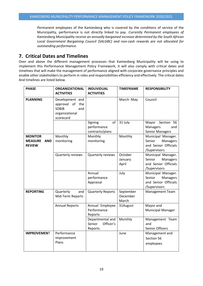Permanent employees of the Kamiesberg who is covered by the conditions of service of the Municipality, performance is not directly linked to pay. *Currently Permanent employees of Kamiesberg Municipality receive an annually bargained increase determined by the South African Local Government Bargaining Council (SALGBC) and non-cash rewards are not allocated for outstanding performance.*

# **7. Critical Dates and Timelines**

Over and above the different management processes that Kamiesberg Municipality will be using to implement this Performance Management Policy Framework, it will also comply with critical dates and timelines that will make the management of performance aligned with corporate governance principles and enable other stakeholders to perform in roles and responsibilities efficiency and effectively. The critical dates And timelines are listed below.

| <b>PHASE</b>                                                    | <b>ORGANIZATIONAL</b>                                                                          | <b>INDUVIDUAL</b>                                  | <b>TIMEFRAME</b>               | <b>RESPONSIBILITY</b>                                                            |
|-----------------------------------------------------------------|------------------------------------------------------------------------------------------------|----------------------------------------------------|--------------------------------|----------------------------------------------------------------------------------|
|                                                                 | <b>ACTIVITIES</b>                                                                              | <b>ACTIVITIES</b>                                  |                                |                                                                                  |
| <b>PLANNING</b>                                                 | Development and<br>approval<br>of<br>the<br><b>SDBIB</b><br>and<br>organizational<br>scorecard |                                                    | March -May                     | Council                                                                          |
|                                                                 |                                                                                                | Signing<br>of<br>performance<br>contracts/plans    | 31 July                        | Mayor .Section 56<br><b>Managers</b><br>and<br><b>Senior Managers</b>            |
| <b>MONITOR</b><br><b>MEASURE</b><br><b>AND</b><br><b>REVIEW</b> | Monthly<br>monitoring                                                                          | Monthly<br>monitoring                              | Monthly                        | Municipal Manager.<br>Senior<br>Managers<br>and Senior Officials<br>/Supervisors |
|                                                                 | Quarterly reviews                                                                              | Quarterly reviews                                  | October<br>January<br>April    | Municipal Manager.<br>Senior<br>Managers<br>and Senior Officials<br>/Supervisors |
|                                                                 |                                                                                                | Annual<br>performance<br>Appraisal                 | July                           | Municipal Manager.<br>Senior<br>Managers<br>and Senior Officials<br>/Supervisors |
| <b>REPORTING</b>                                                | Quarterly<br>and<br>Mid-Term Reports                                                           | <b>Quarterly Reports</b>                           | September<br>December<br>March | Management Team                                                                  |
|                                                                 | <b>Annual Reports</b>                                                                          | Annual Employee<br>Performance<br>Reports          | 31August                       | Mayor and<br><b>Municipal Manager</b>                                            |
|                                                                 |                                                                                                | Departmental and<br>Senior<br>Officer's<br>Reports | Monthly                        | Management Team<br>and<br>Senior Officers                                        |
| <b>IMPROVEMENT</b>                                              | Performance<br>improvement<br>Plans                                                            |                                                    | June                           | Management and<br>Section 56<br>employees                                        |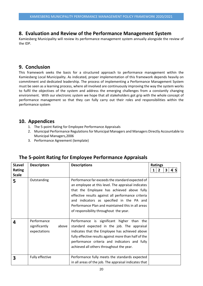# **8. Evaluation and Review of the Performance Management System**

Kamiesberg Municipality will review its performance management system annually alongside the review of the IDP.

# **9. Conclusion**

This framework seeks the basis for a structured approach to performance management within the Kamiesberg Local Municipality. As indicated, proper implementation of this framework depends heavily on commitment and dedicated leadership. The process of implementing a Performance Management System must be seen as a learning process, where all involved are continuously improving the way the system works to fulfil the objectives of the system and address the emerging challenges from a constantly changing environment. With our electronic system we hope that all stakeholders got grip with the whole concept of performance management so that they can fully carry out their roles and responsibilities within the performance system

# **10. Appendices**

- 1. The 5-point Rating for Employee Performance Appraisals
- 2. Municipal Performance Regulations for Municipal Managers and Managers Directly Accountable to Municipal Managers,2006
- 3. Performance Agreement (template)

| <b>5Level</b><br><b>Rating</b><br><b>Scale</b> | <b>Descriptors</b>                                    | <b>Descriptions</b>                                                                                                                                                                                                                                                                                                                                    | <b>Ratings</b><br>$\overline{2}$<br>3<br>45<br>1 |
|------------------------------------------------|-------------------------------------------------------|--------------------------------------------------------------------------------------------------------------------------------------------------------------------------------------------------------------------------------------------------------------------------------------------------------------------------------------------------------|--------------------------------------------------|
| 5                                              | Outstanding                                           | Performance far exceeds the standard expected of<br>an employee at this level. The appraisal indicates<br>that the Employee has achieved above fully<br>effective results against all performance criteria<br>and indicators as specified in the PA and<br>Performance Plan and maintained this in all areas<br>of responsibility throughout the year. |                                                  |
| 4                                              | Performance<br>significantly<br>above<br>expectations | Performance is significant higher than the<br>standard expected in the job. The appraisal<br>indicates that the Employee has achieved above<br>fully effective results against more than half of the<br>performance criteria and indicators and fully<br>achieved all others throughout the year.                                                      |                                                  |
| 3                                              | Fully effective                                       | Performance fully meets the standards expected<br>in all areas of the job. The appraisal indicates that                                                                                                                                                                                                                                                |                                                  |

# **The 5-point Rating for Employee Performance Appraisals**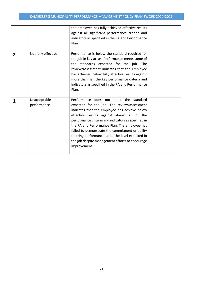|                |                             | the employee has fully achieved effective results<br>against all significant performance criteria and<br>indicators as specified in the PA and Performance<br>Plan.                                                                                                                                                                                                                                                                                                     |  |
|----------------|-----------------------------|-------------------------------------------------------------------------------------------------------------------------------------------------------------------------------------------------------------------------------------------------------------------------------------------------------------------------------------------------------------------------------------------------------------------------------------------------------------------------|--|
| $\overline{2}$ | Not fully effective         | Performance is below the standard required for<br>the job in key areas. Performance meets some of<br>the standards expected for the job. The<br>review/assessment indicates that the Employee<br>has achieved below fully effective results against<br>more than half the key performance criteria and<br>indicators as specified in the PA and Performance<br>Plan.                                                                                                    |  |
| 1              | Unacceptable<br>performance | Performance does not meet the standard<br>expected for the job. The review/assessment<br>indicates that the employee has achieve below<br>effective results against almost all of the<br>performance criteria and indicators as specified in<br>the PA and Performance Plan. The employee has<br>failed to demonstrate the commitment or ability<br>to bring performance up to the level expected in<br>the job despite management efforts to encourage<br>improvement. |  |